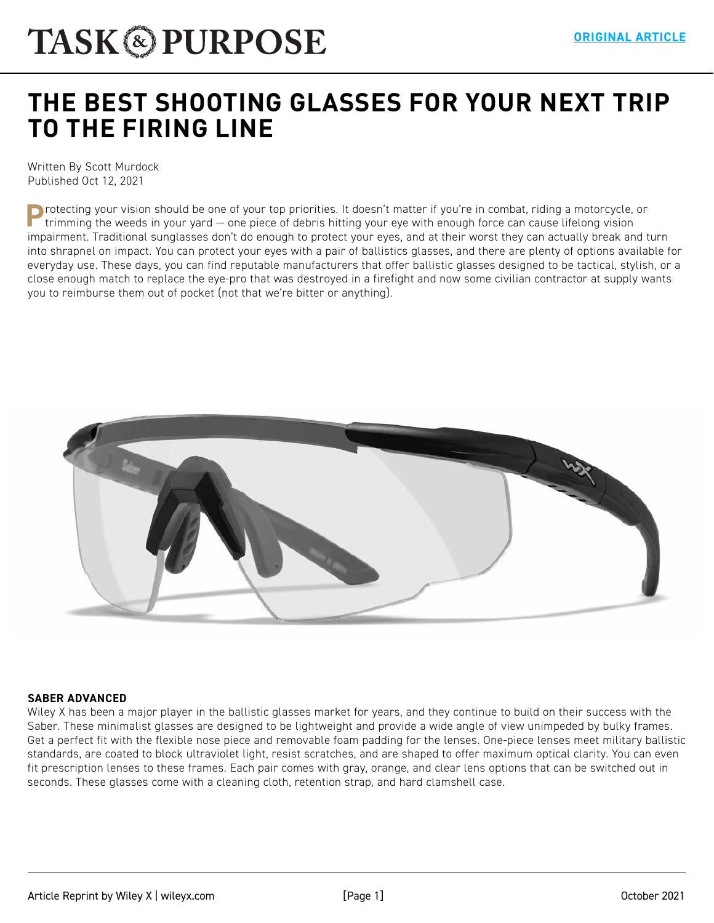# **[THE BEST SHOOTING GLASSES FOR YOUR NEXT TRIP](https://taskandpurpose.com/reviews/best-shooting-glasses/)  TO THE FIRING LINE**

Written By Scott Murdock Published Oct 12, 2021

**P**rotecting your vision should be one of your top priorities. It doesn't matter if you're in combat, riding a motorcycle, or trimming the weeds in your yard — one piece of debris hitting your eye with enough force can cause lifelong vision impairment. Traditional sunglasses don't do enough to protect your eyes, and at their worst they can actually break and turn into shrapnel on impact. You can protect your eyes with a pair of ballistics glasses, and there are plenty of options available for everyday use. These days, you can find reputable manufacturers that offer ballistic glasses designed to be tactical, stylish, or a close enough match to replace the eye-pro that was destroyed in a firefight and now some civilian contractor at supply wants you to reimburse them out of pocket (not that we're bitter or anything).



#### **SABER ADVANCED**

Wiley X has been a major player in the ballistic glasses market for years, and they continue to build on their success with the Saber. These minimalist glasses are designed to be lightweight and provide a wide angle of view unimpeded by bulky frames. Get a perfect fit with the flexible nose piece and removable foam padding for the lenses. One-piece lenses meet military ballistic standards, are coated to block ultraviolet light, resist scratches, and are shaped to offer maximum optical clarity. You can even fit prescription lenses to these frames. Each pair comes with gray, orange, and clear lens options that can be switched out in seconds. These glasses come with a cleaning cloth, retention strap, and hard clamshell case.